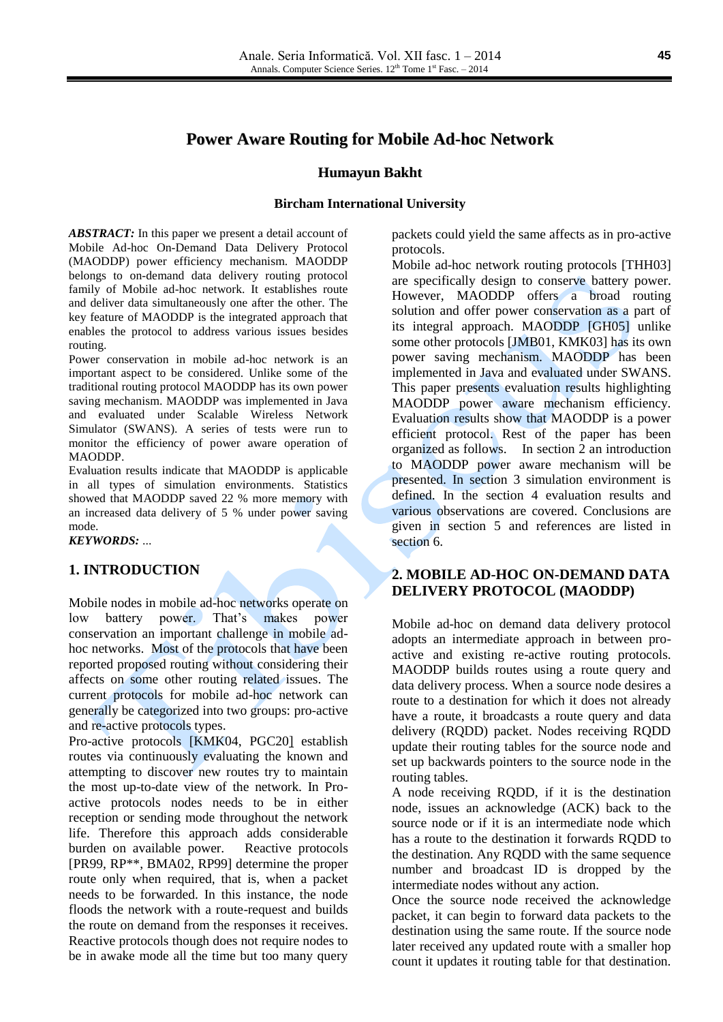# **Power Aware Routing for Mobile Ad-hoc Network**

#### **Humayun Bakht**

#### **Bircham International University**

*ABSTRACT:* In this paper we present a detail account of Mobile Ad-hoc On-Demand Data Delivery Protocol (MAODDP) power efficiency mechanism. MAODDP belongs to on-demand data delivery routing protocol family of Mobile ad-hoc network. It establishes route and deliver data simultaneously one after the other. The key feature of MAODDP is the integrated approach that enables the protocol to address various issues besides routing.

Power conservation in mobile ad-hoc network is an important aspect to be considered. Unlike some of the traditional routing protocol MAODDP has its own power saving mechanism. MAODDP was implemented in Java and evaluated under Scalable Wireless Network Simulator (SWANS). A series of tests were run to monitor the efficiency of power aware operation of MAODDP.

Evaluation results indicate that MAODDP is applicable in all types of simulation environments. Statistics showed that MAODDP saved 22 % more memory with an increased data delivery of 5 % under power saving mode.

#### *KEYWORDS:* ...

### **1. INTRODUCTION**

Mobile nodes in mobile ad-hoc networks operate on low battery power. That's makes power conservation an important challenge in mobile adhoc networks. Most of the protocols that have been reported proposed routing without considering their affects on some other routing related issues. The current protocols for mobile ad-hoc network can generally be categorized into two groups: pro*-*active and re-active protocols types.

Pro-active protocols [KMK04, PGC20] establish routes via continuously evaluating the known and attempting to discover new routes try to maintain the most up-to-date view of the network. In Proactive protocols nodes needs to be in either reception or sending mode throughout the network life. Therefore this approach adds considerable burden on available power. Reactive protocols [PR99, RP\*\*, BMA02, RP99] determine the proper route only when required, that is, when a packet needs to be forwarded. In this instance, the node floods the network with a route-request and builds the route on demand from the responses it receives. Reactive protocols though does not require nodes to be in awake mode all the time but too many query

packets could yield the same affects as in pro-active protocols.

Mobile ad-hoc network routing protocols [THH03] are specifically design to conserve battery power. However, MAODDP offers a broad routing solution and offer power conservation as a part of its integral approach. MAODDP [GH05] unlike some other protocols [JMB01, KMK03] has its own power saving mechanism. MAODDP has been implemented in Java and evaluated under SWANS. This paper presents evaluation results highlighting MAODDP power aware mechanism efficiency. Evaluation results show that MAODDP is a power efficient protocol. Rest of the paper has been organized as follows. In section 2 an introduction to MAODDP power aware mechanism will be presented. In section 3 simulation environment is defined. In the section 4 evaluation results and various observations are covered. Conclusions are given in section 5 and references are listed in section 6.

# **2. MOBILE AD-HOC ON-DEMAND DATA DELIVERY PROTOCOL (MAODDP)**

Mobile ad-hoc on demand data delivery protocol adopts an intermediate approach in between proactive and existing re-active routing protocols. MAODDP builds routes using a route query and data delivery process. When a source node desires a route to a destination for which it does not already have a route, it broadcasts a route query and data delivery (RQDD) packet. Nodes receiving RQDD update their routing tables for the source node and set up backwards pointers to the source node in the routing tables.

A node receiving RQDD, if it is the destination node, issues an acknowledge (ACK) back to the source node or if it is an intermediate node which has a route to the destination it forwards RQDD to the destination. Any RQDD with the same sequence number and broadcast ID is dropped by the intermediate nodes without any action.

Once the source node received the acknowledge packet, it can begin to forward data packets to the destination using the same route. If the source node later received any updated route with a smaller hop count it updates it routing table for that destination.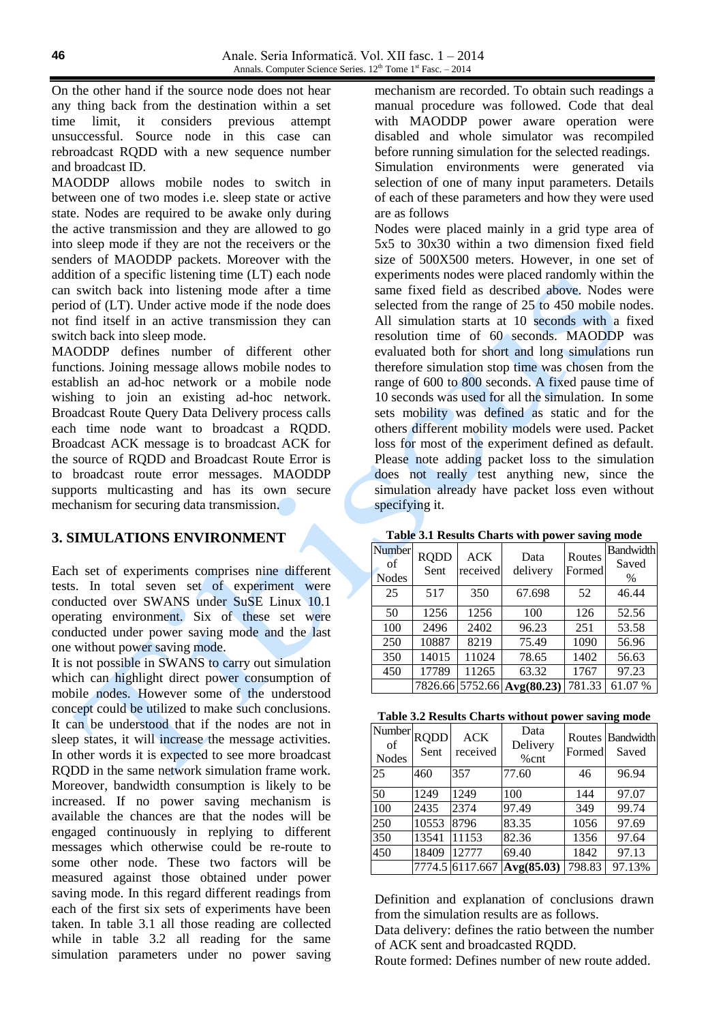On the other hand if the source node does not hear any thing back from the destination within a set time limit, it considers previous attempt unsuccessful. Source node in this case can rebroadcast RQDD with a new sequence number and broadcast ID.

MAODDP allows mobile nodes to switch in between one of two modes i.e. sleep state or active state. Nodes are required to be awake only during the active transmission and they are allowed to go into sleep mode if they are not the receivers or the senders of MAODDP packets. Moreover with the addition of a specific listening time (LT) each node can switch back into listening mode after a time period of (LT). Under active mode if the node does not find itself in an active transmission they can switch back into sleep mode.

MAODDP defines number of different other functions. Joining message allows mobile nodes to establish an ad-hoc network or a mobile node wishing to join an existing ad-hoc network. Broadcast Route Query Data Delivery process calls each time node want to broadcast a RQDD. Broadcast ACK message is to broadcast ACK for the source of RQDD and Broadcast Route Error is to broadcast route error messages. MAODDP supports multicasting and has its own secure mechanism for securing data transmission.

## **3. SIMULATIONS ENVIRONMENT**

Each set of experiments comprises nine different tests. In total seven set of experiment were conducted over SWANS under SuSE Linux 10.1 operating environment. Six of these set were conducted under power saving mode and the last one without power saving mode.

It is not possible in SWANS to carry out simulation which can highlight direct power consumption of mobile nodes. However some of the understood concept could be utilized to make such conclusions. It can be understood that if the nodes are not in sleep states, it will increase the message activities. In other words it is expected to see more broadcast RQDD in the same network simulation frame work. Moreover, bandwidth consumption is likely to be increased. If no power saving mechanism is available the chances are that the nodes will be engaged continuously in replying to different messages which otherwise could be re-route to some other node. These two factors will be measured against those obtained under power saving mode. In this regard different readings from each of the first six sets of experiments have been taken. In table 3.1 all those reading are collected while in table 3.2 all reading for the same simulation parameters under no power saving

mechanism are recorded. To obtain such readings a manual procedure was followed. Code that deal with MAODDP power aware operation were disabled and whole simulator was recompiled before running simulation for the selected readings. Simulation environments were generated via selection of one of many input parameters. Details of each of these parameters and how they were used are as follows

Nodes were placed mainly in a grid type area of 5x5 to 30x30 within a two dimension fixed field size of 500X500 meters. However, in one set of experiments nodes were placed randomly within the same fixed field as described above. Nodes were selected from the range of 25 to 450 mobile nodes. All simulation starts at 10 seconds with a fixed resolution time of 60 seconds. MAODDP was evaluated both for short and long simulations run therefore simulation stop time was chosen from the range of 600 to 800 seconds. A fixed pause time of 10 seconds was used for all the simulation. In some sets mobility was defined as static and for the others different mobility models were used. Packet loss for most of the experiment defined as default. Please note adding packet loss to the simulation does not really test anything new, since the simulation already have packet loss even without specifying it.

| Table 3.1 Results Charts with power saving mode |  |  |  |  |  |  |
|-------------------------------------------------|--|--|--|--|--|--|
|                                                 |  |  |  |  |  |  |

| Number<br>of<br><b>Nodes</b> | <b>RODD</b><br>Sent | <b>ACK</b><br>received | Data<br>delivery           | Routes<br>Formed | <b>Bandwidth</b><br>Saved<br>$\frac{0}{0}$ |
|------------------------------|---------------------|------------------------|----------------------------|------------------|--------------------------------------------|
| 25                           | 517                 | 350                    | 67.698                     | 52               | 46.44                                      |
| 50                           | 1256                | 1256                   | 100                        | 126              | 52.56                                      |
| 100                          | 2496                | 2402                   | 96.23                      | 251              | 53.58                                      |
| 250                          | 10887               | 8219                   | 75.49                      | 1090             | 56.96                                      |
| 350                          | 14015               | 11024                  | 78.65                      | 1402             | 56.63                                      |
| 450                          | 17789               | 11265                  | 63.32                      | 1767             | 97.23                                      |
|                              |                     |                        | 7826.66 5752.66 Avg(80.23) | 781.33           | 61.07%                                     |

| Table 3.2 Results Charts without power saving mode |  |
|----------------------------------------------------|--|
|----------------------------------------------------|--|

| Number<br>of<br><b>Nodes</b> | <b>RQDD</b><br>Sent | <b>ACK</b><br>received | Data<br>Delivery<br>$%$ cnt | Formed | Routes Bandwidth<br>Saved |
|------------------------------|---------------------|------------------------|-----------------------------|--------|---------------------------|
| 25                           | 460                 | 357                    | 77.60                       | 46     | 96.94                     |
| 50                           | 1249                | 1249                   | 100                         | 144    | 97.07                     |
| 100                          | 2435                | 2374                   | 97.49                       | 349    | 99.74                     |
| 250                          | 10553               | 8796                   | 83.35                       | 1056   | 97.69                     |
| 350                          | 13541               | 11153                  | 82.36                       | 1356   | 97.64                     |
| 450                          | 18409               | 12777                  | 69.40                       | 1842   | 97.13                     |
|                              |                     | 7774.5 6117.667        | Avg(85.03)                  | 798.83 | 97.13%                    |

Definition and explanation of conclusions drawn from the simulation results are as follows.

Data delivery: defines the ratio between the number of ACK sent and broadcasted RQDD.

Route formed: Defines number of new route added.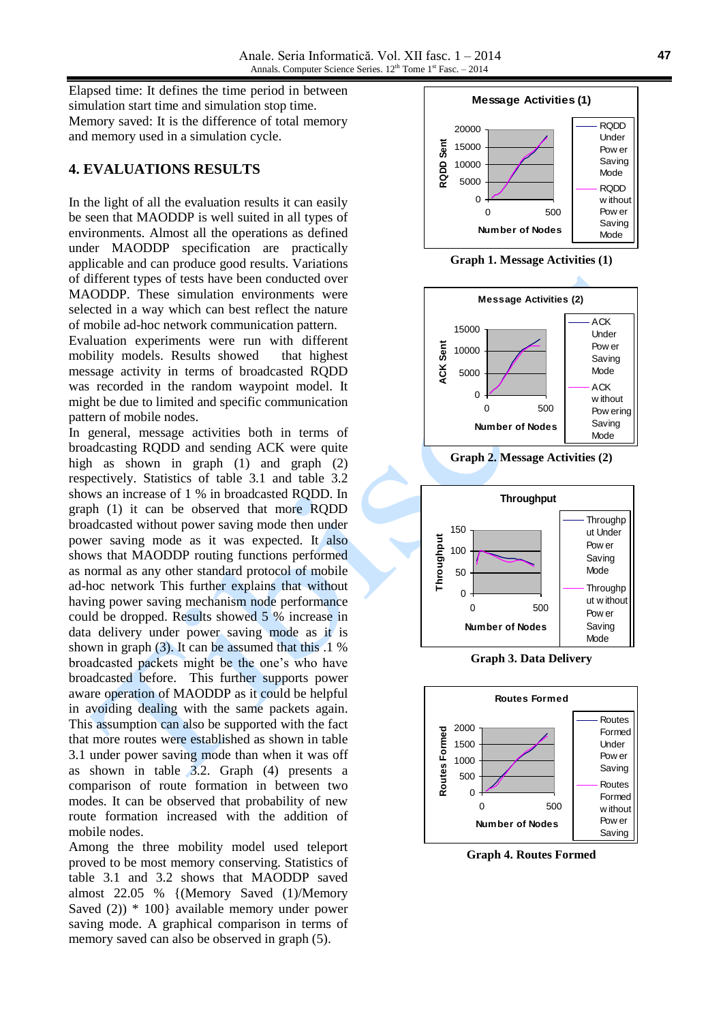Elapsed time: It defines the time period in between simulation start time and simulation stop time. Memory saved: It is the difference of total memory and memory used in a simulation cycle.

### **4. EVALUATIONS RESULTS**

In the light of all the evaluation results it can easily be seen that MAODDP is well suited in all types of environments. Almost all the operations as defined under MAODDP specification are practically applicable and can produce good results. Variations of different types of tests have been conducted over MAODDP. These simulation environments were selected in a way which can best reflect the nature of mobile ad-hoc network communication pattern.

Evaluation experiments were run with different mobility models. Results showed that highest message activity in terms of broadcasted RQDD was recorded in the random waypoint model. It might be due to limited and specific communication pattern of mobile nodes.

In general, message activities both in terms of broadcasting RQDD and sending ACK were quite high as shown in graph (1) and graph (2) respectively. Statistics of table 3.1 and table 3.2 shows an increase of 1 % in broadcasted RQDD. In graph (1) it can be observed that more RQDD broadcasted without power saving mode then under power saving mode as it was expected. It also shows that MAODDP routing functions performed as normal as any other standard protocol of mobile ad-hoc network This further explains that without having power saving mechanism node performance could be dropped. Results showed 5 % increase in data delivery under power saving mode as it is shown in graph (3). It can be assumed that this .1 % broadcasted packets might be the one's who have broadcasted before. This further supports power aware operation of MAODDP as it could be helpful in avoiding dealing with the same packets again. This assumption can also be supported with the fact that more routes were established as shown in table 3.1 under power saving mode than when it was off as shown in table 3.2. Graph (4) presents a comparison of route formation in between two modes. It can be observed that probability of new route formation increased with the addition of mobile nodes.

Among the three mobility model used teleport proved to be most memory conserving. Statistics of table 3.1 and 3.2 shows that MAODDP saved almost 22.05 % {(Memory Saved (1)/Memory Saved (2)) \* 100} available memory under power saving mode. A graphical comparison in terms of memory saved can also be observed in graph (5).



**Graph 1. Message Activities (1)**



**Graph 2. Message Activities (2)**



**Graph 3. Data Delivery**



**Graph 4. Routes Formed**